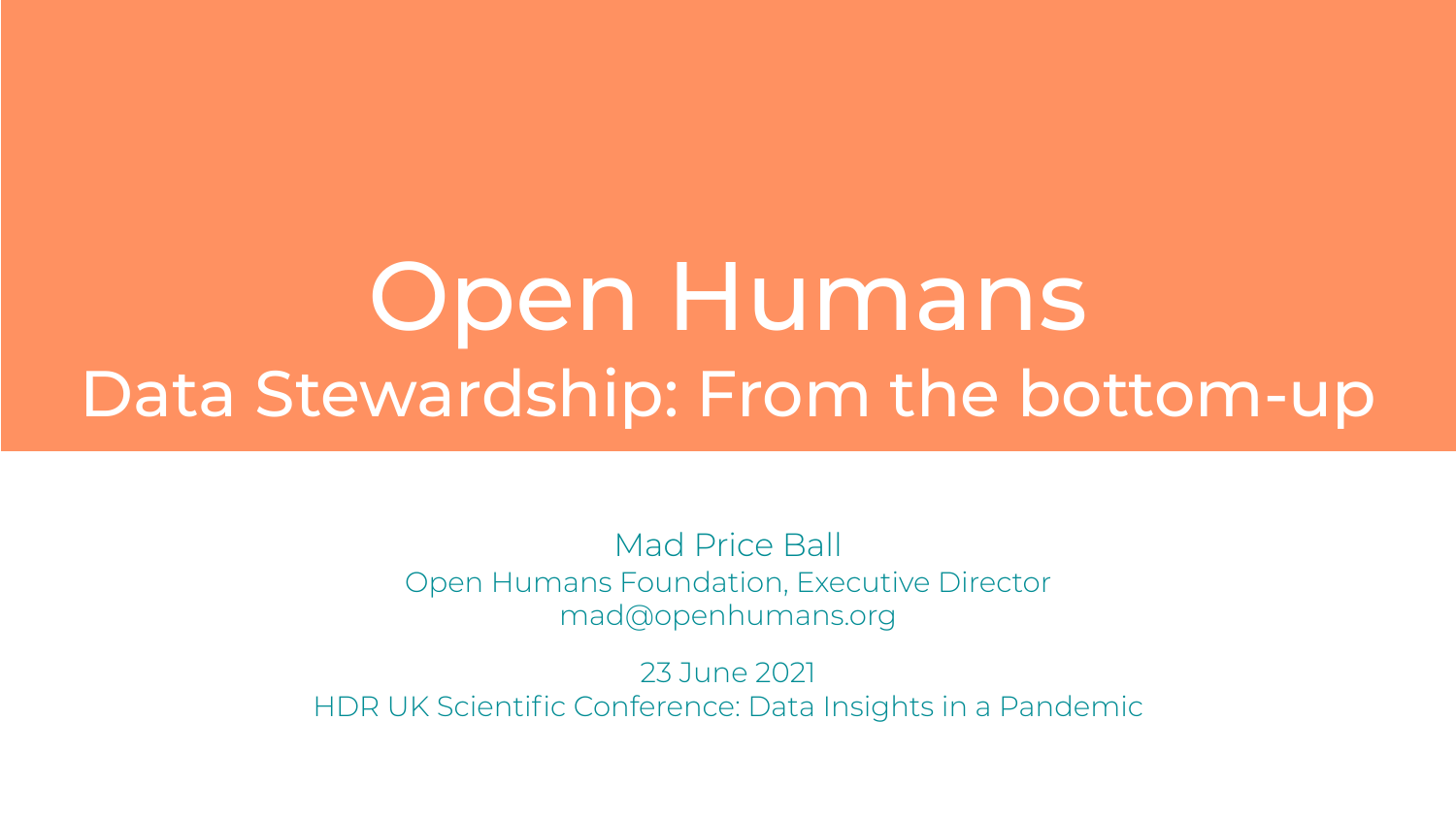# Open Humans Data Stewardship: From the bottom-up

Mad Price Ball Open Humans Foundation, Executive Director mad@openhumans.org

23 June 2021 HDR UK Scientific Conference: Data Insights in a Pandemic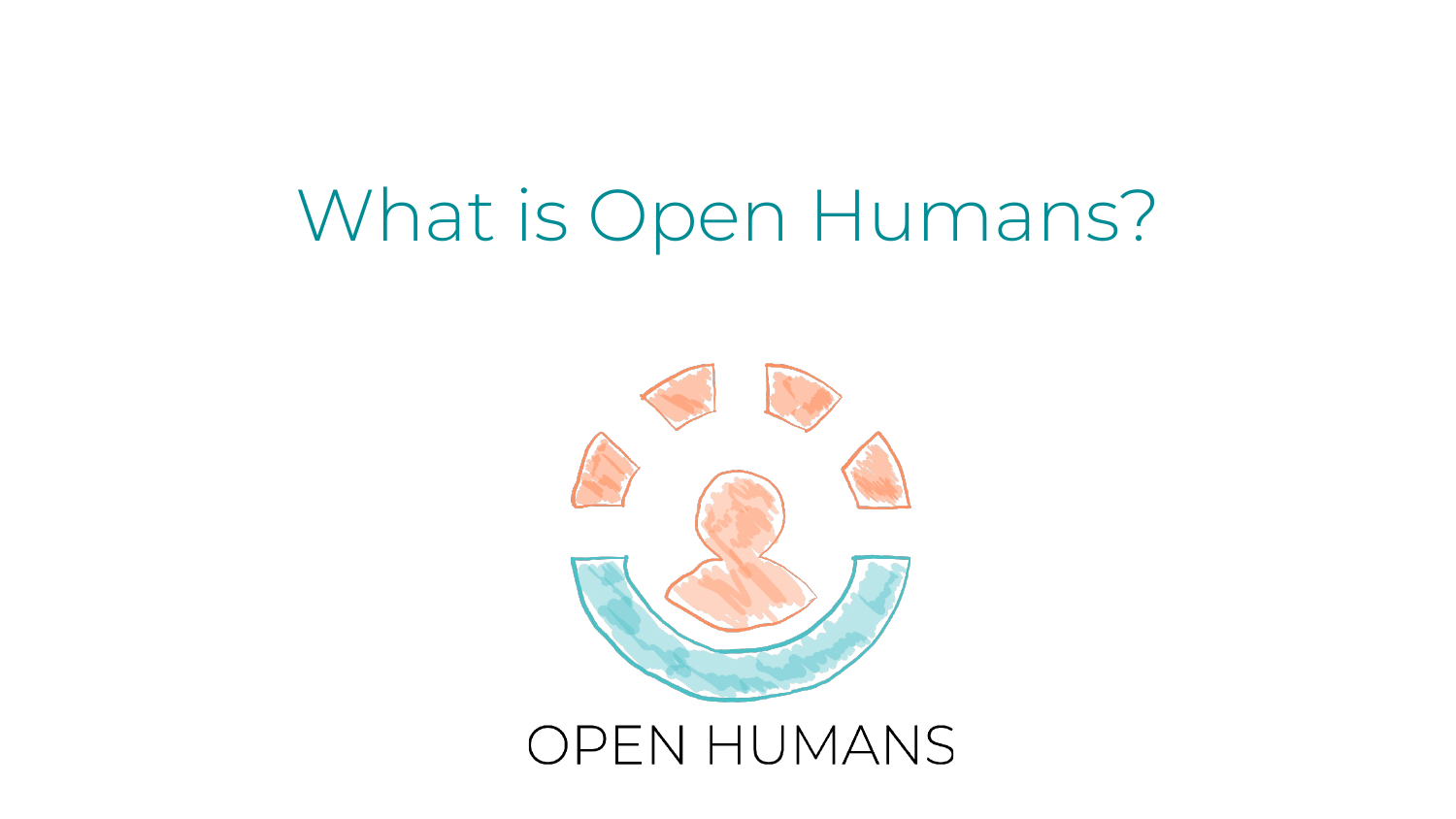## What is Open Humans?



#### **OPEN HUMANS**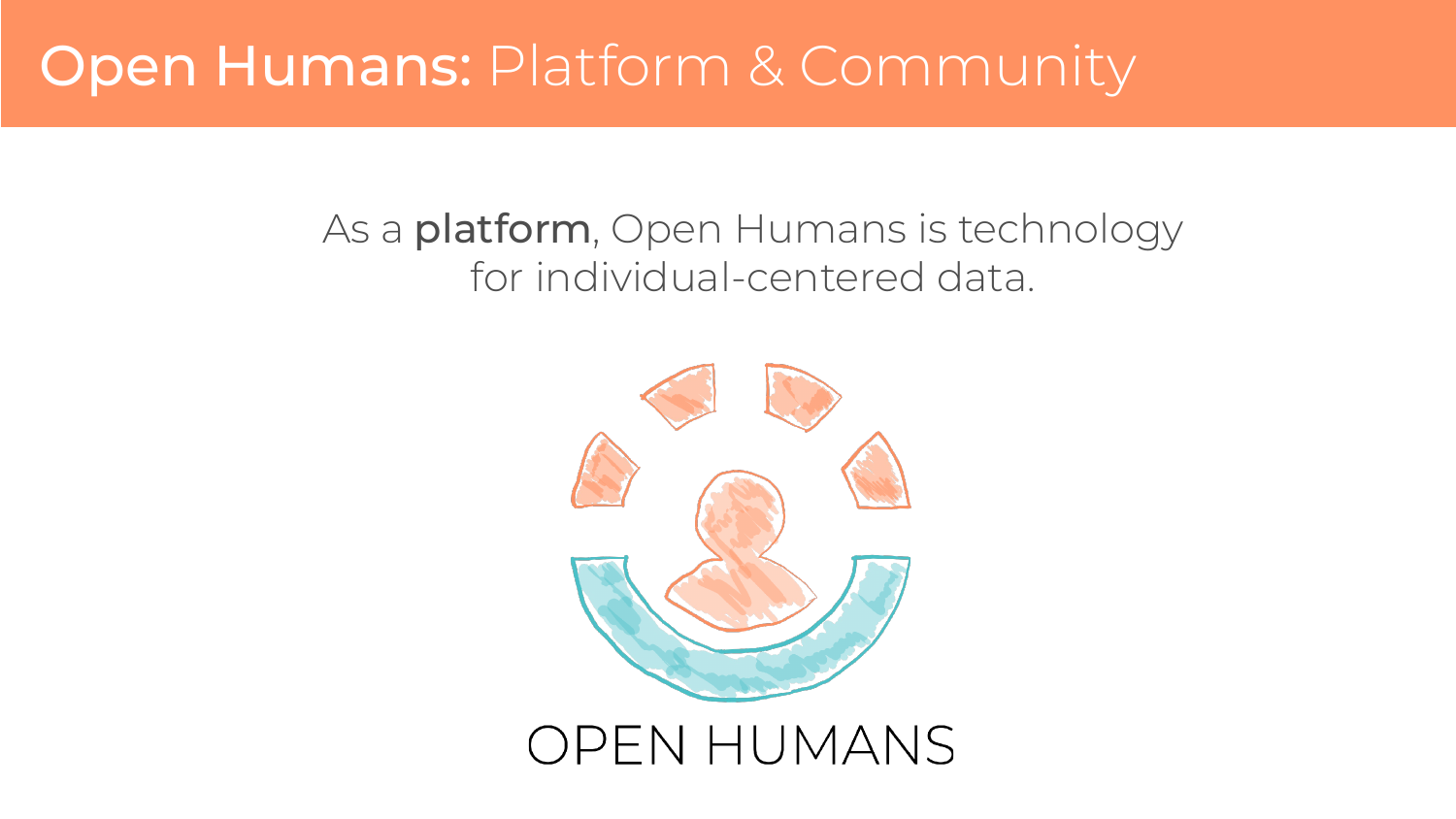#### As a **platform**, Open Humans is technology for individual-centered data.

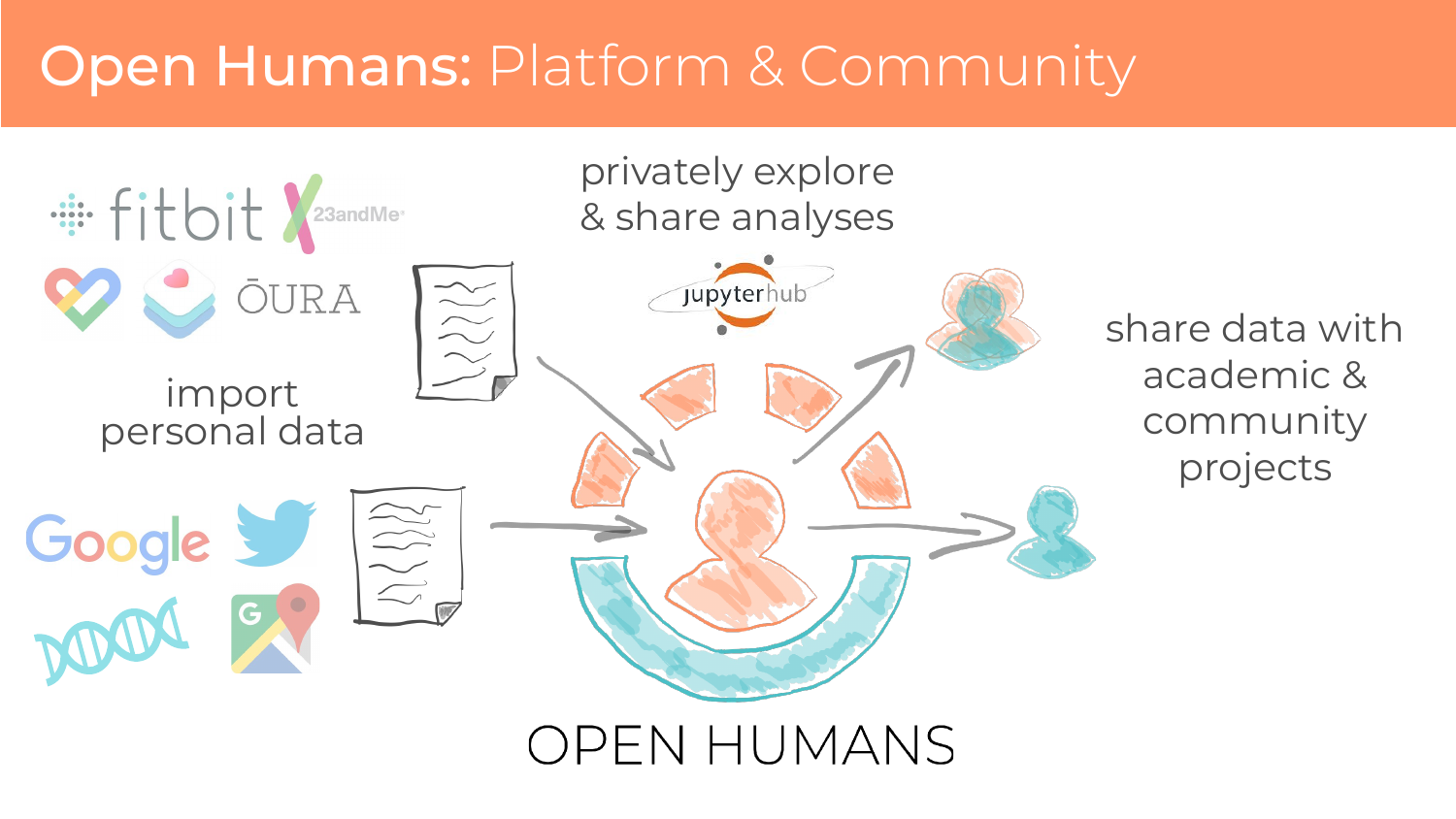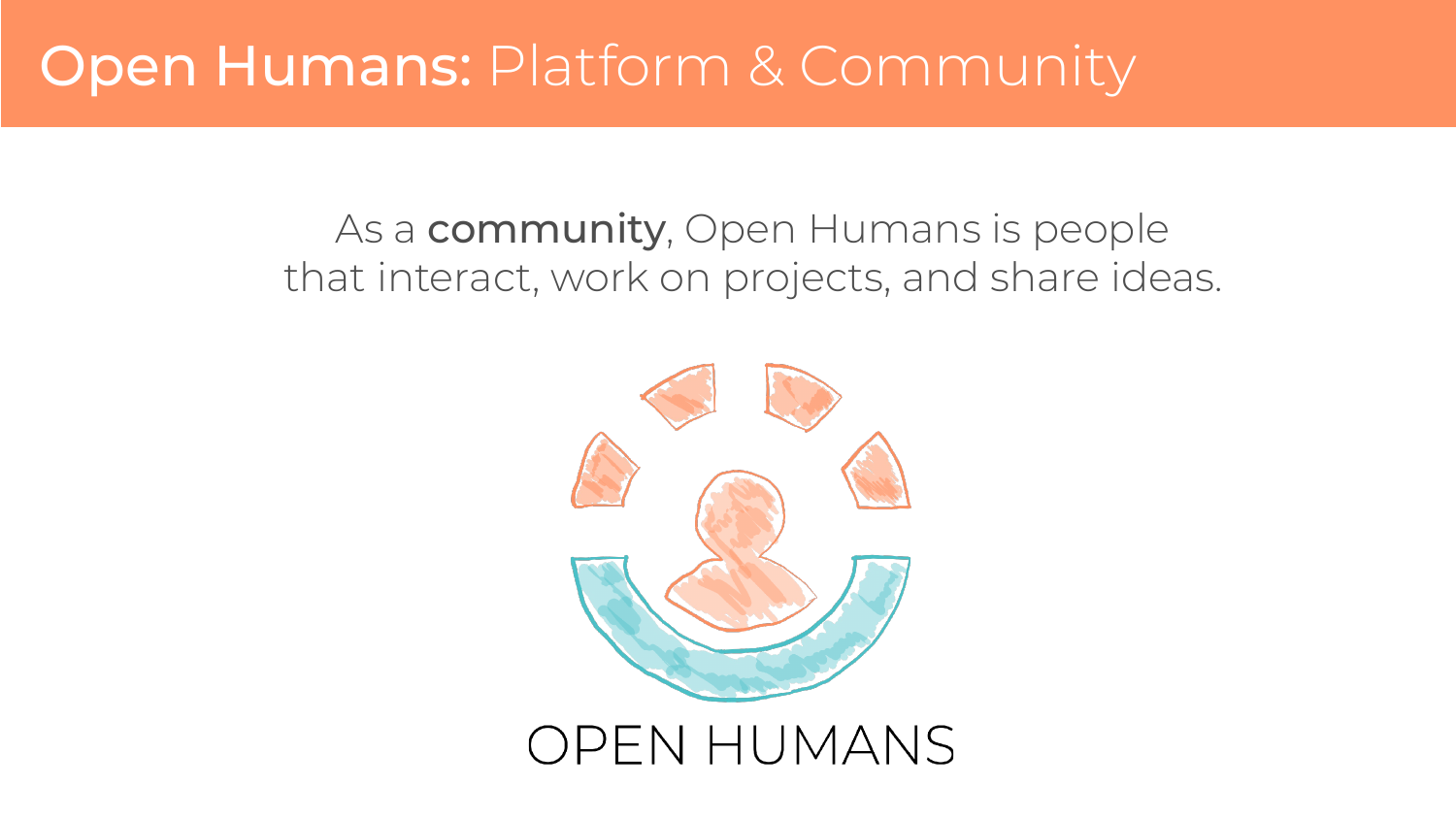#### As a **community**, Open Humans is people that interact, work on projects, and share ideas.

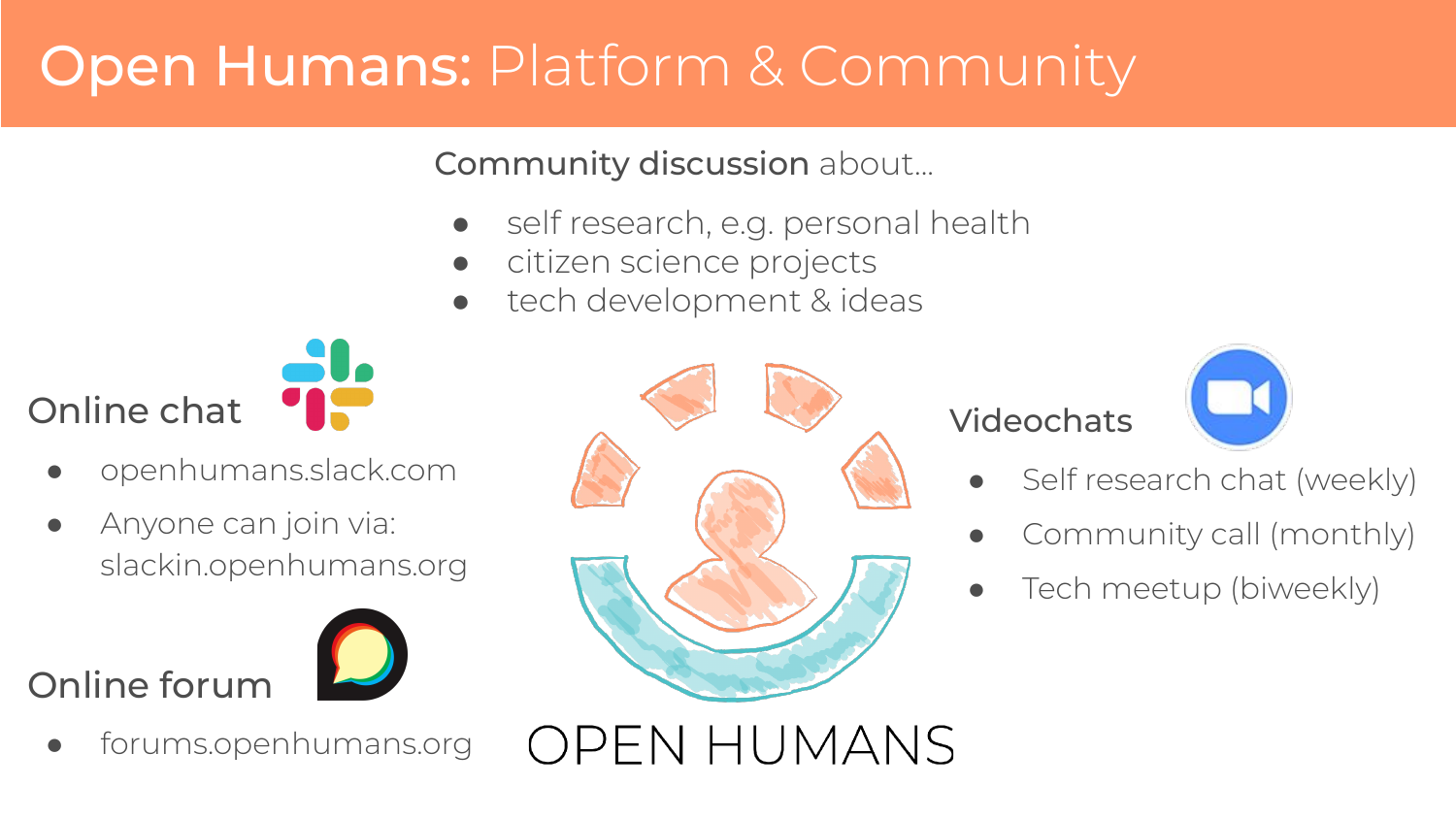Community discussion about...

- self research, e.g. personal health
- citizen science projects
- tech development & ideas



- openhumans.slack.com
- Anyone can join via: slackin.openhumans.org

#### Online forum



forums.openhumans.org



**OPEN HUMANS** 

#### **Videochats**



- Self research chat (weekly)
- Community call (monthly)
- Tech meetup (biweekly)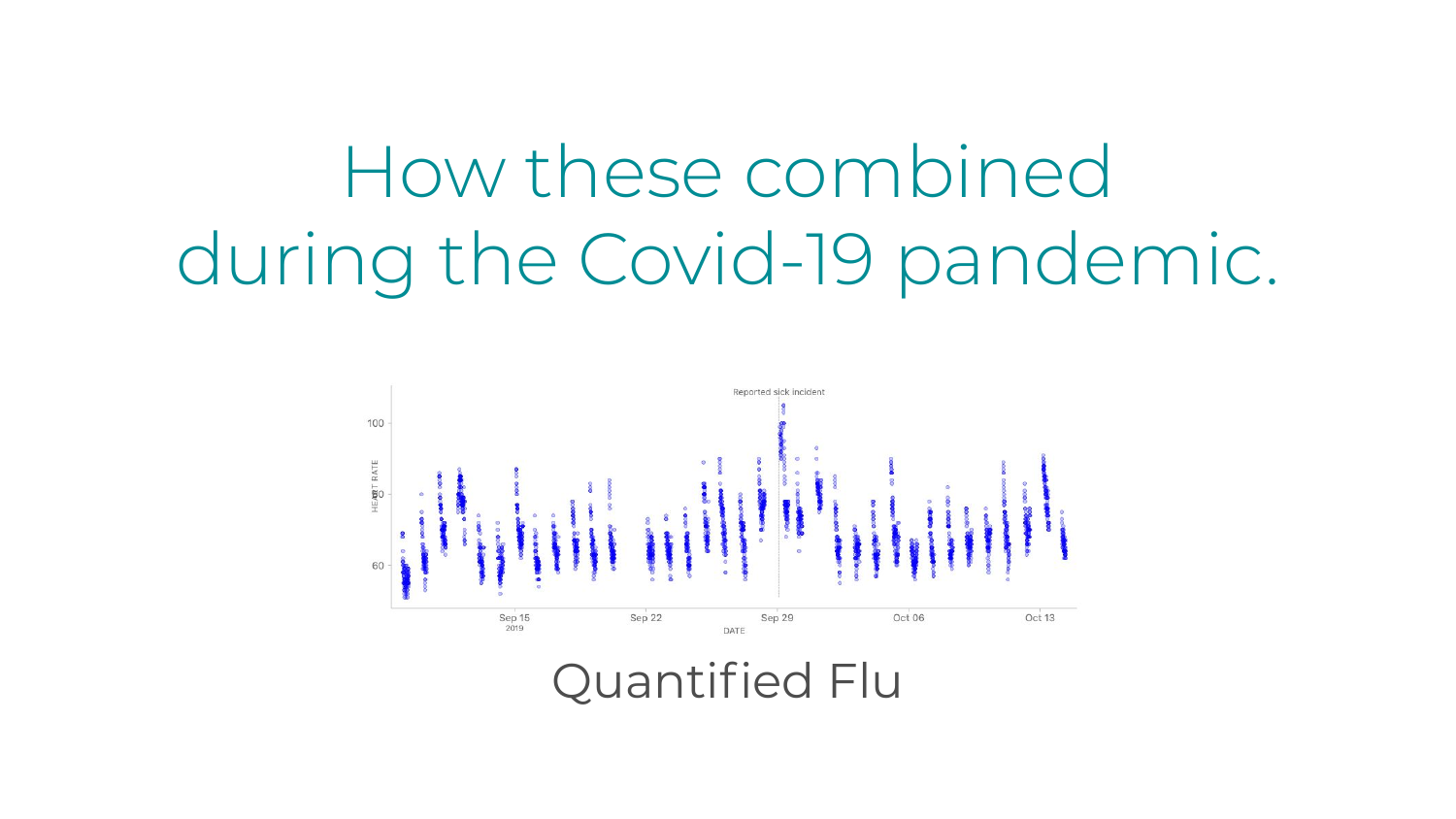## How these combined during the Covid-19 pandemic.

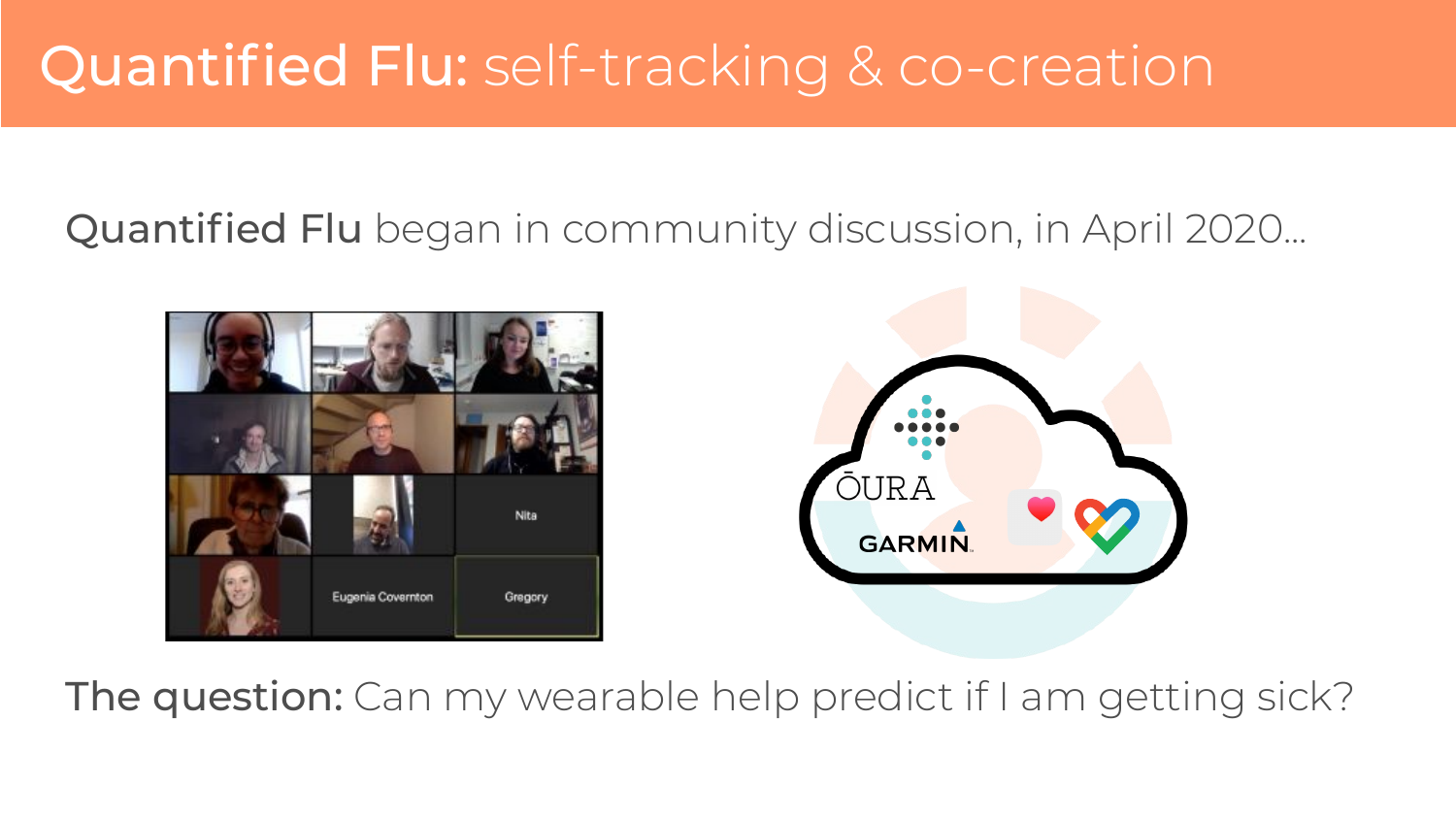### Quantified Flu: self-tracking & co-creation

Quantified Flu began in community discussion, in April 2020...





The question: Can my wearable help predict if I am getting sick?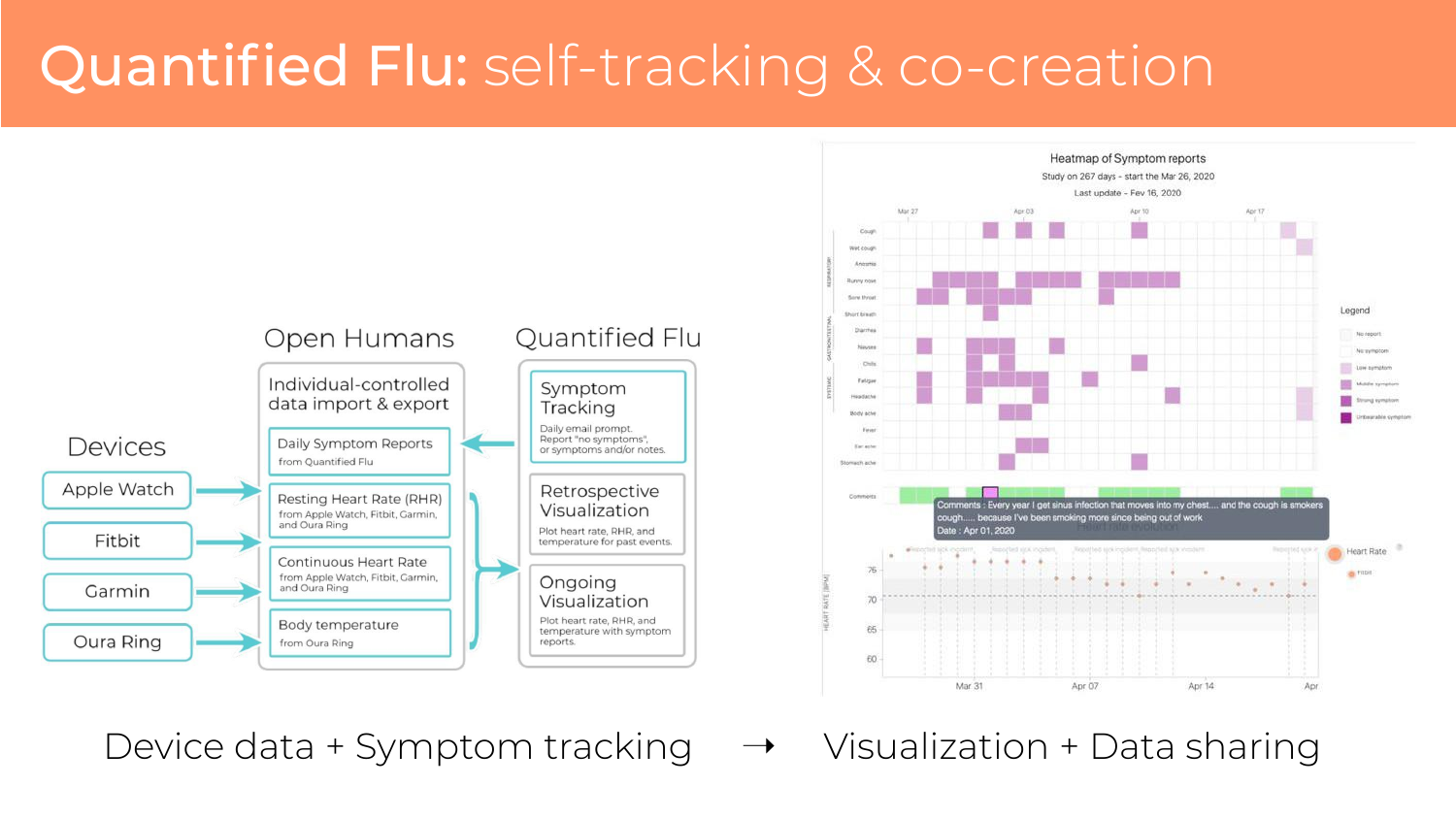## Quantified Flu: self-tracking & co-creation



Device data + Symptom tracking  $\rightarrow$  Visualization + Data sharing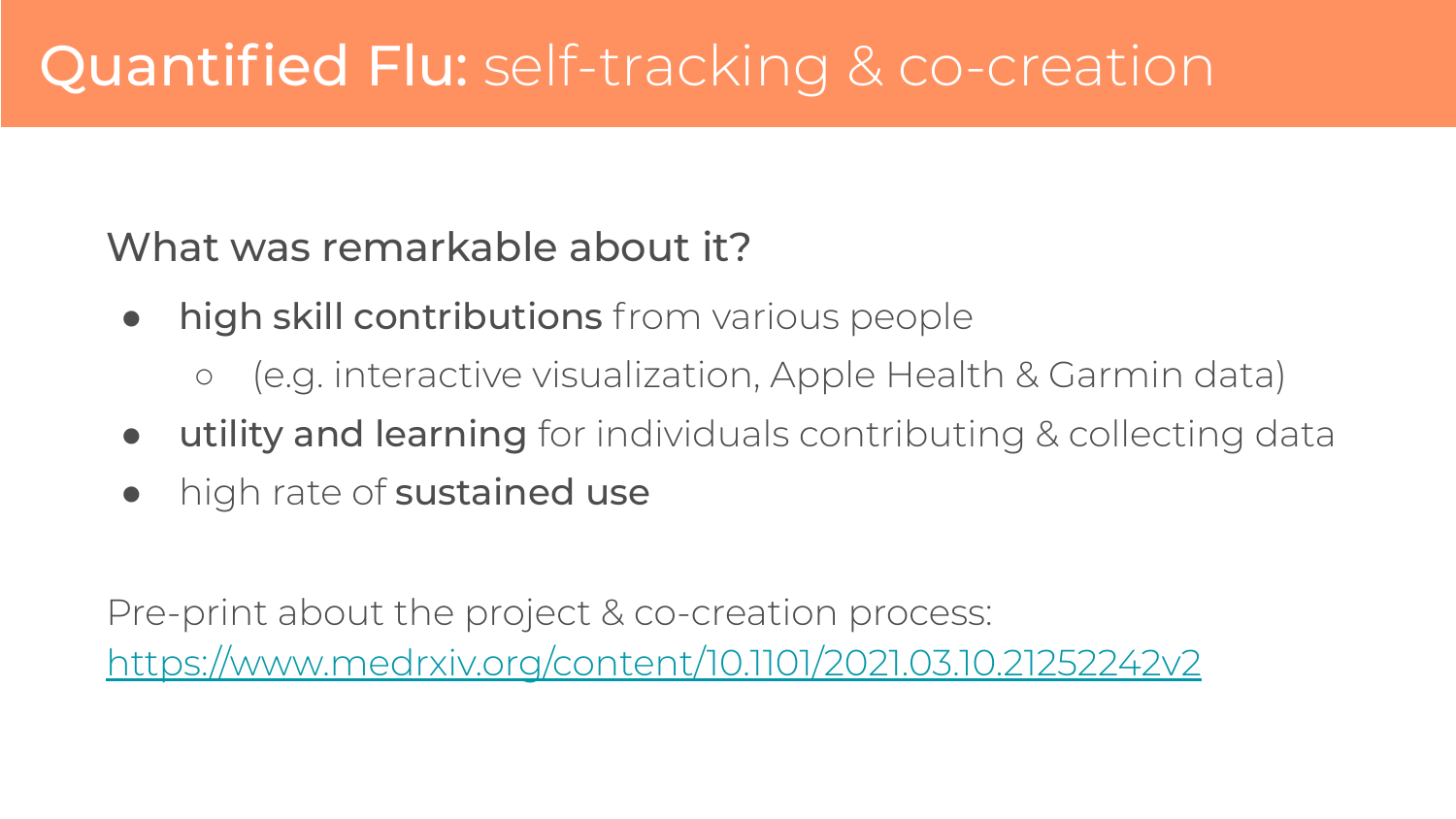What was remarkable about it?

- high skill contributions from various people
	- (e.g. interactive visualization, Apple Health & Garmin data)
- **utility and learning** for individuals contributing & collecting data
- high rate of sustained use

Pre-print about the project & co-creation process: <https://www.medrxiv.org/content/10.1101/2021.03.10.21252242v2>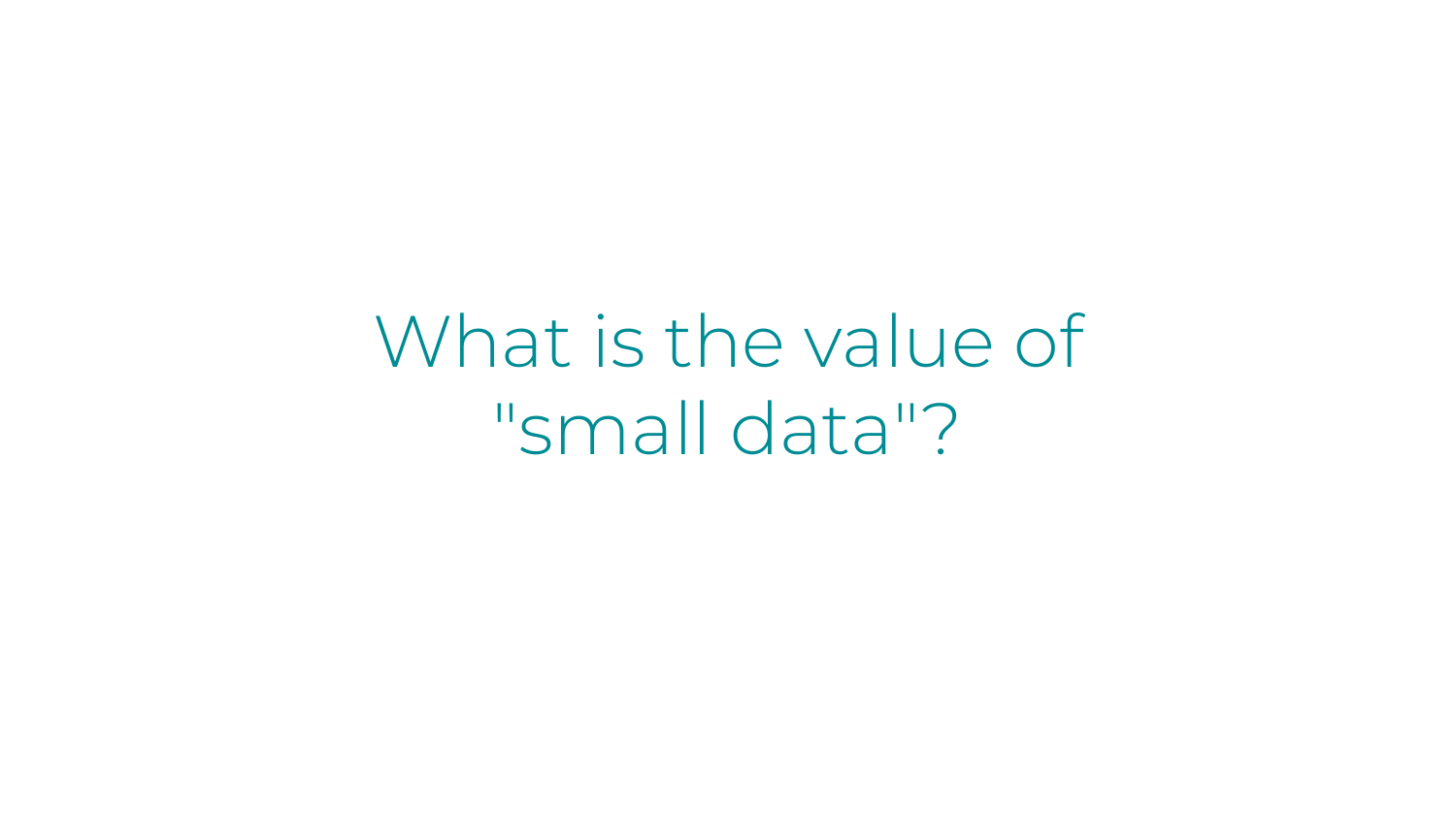What is the value of "small data"?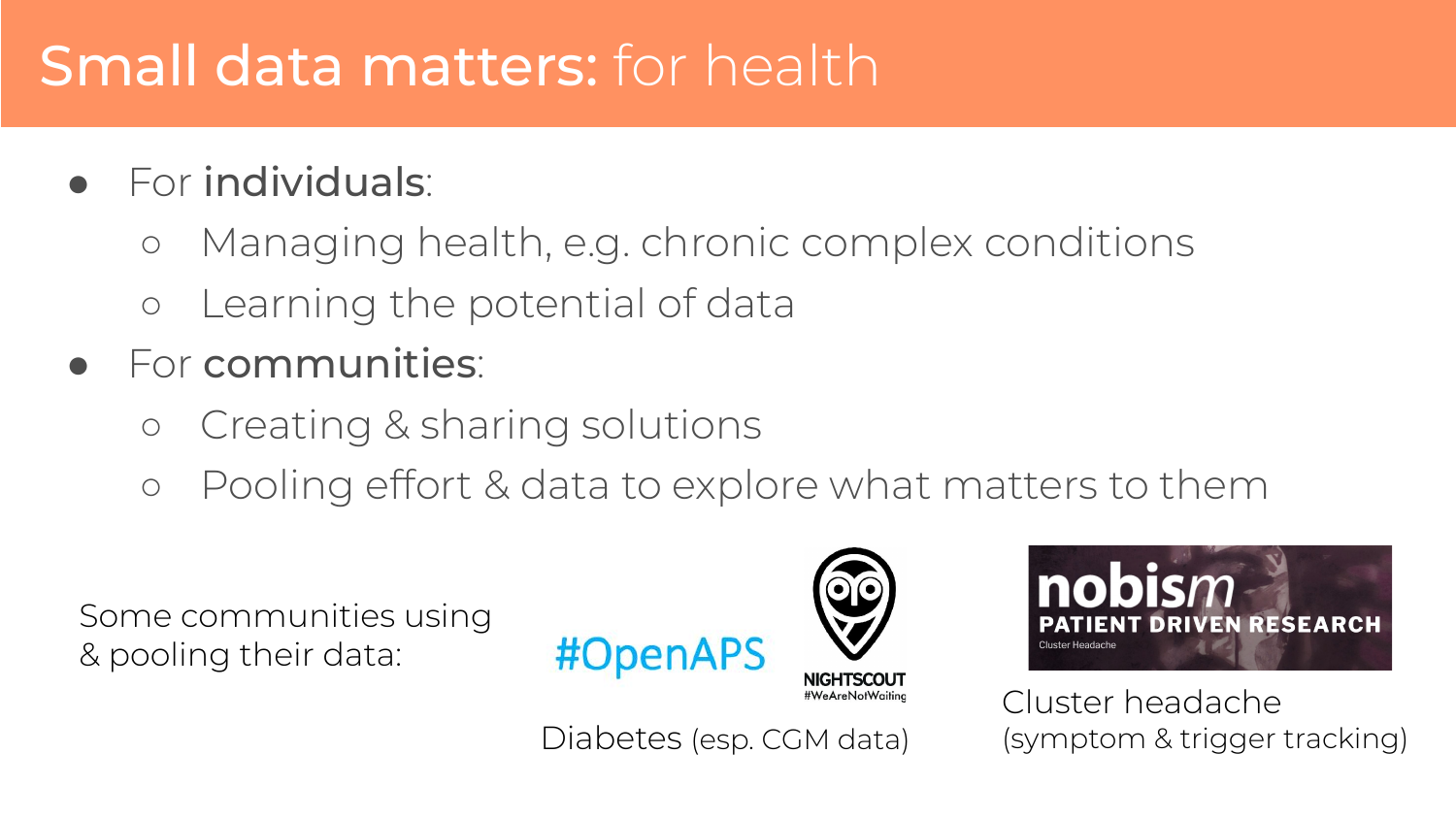### Small data matters: for health

- For individuals:
	- Managing health, e.g. chronic complex conditions
	- Learning the potential of data
- For communities:
	- Creating & sharing solutions
	- Pooling effort & data to explore what matters to them

Some communities using & pooling their data:







Cluster headache (symptom & trigger tracking)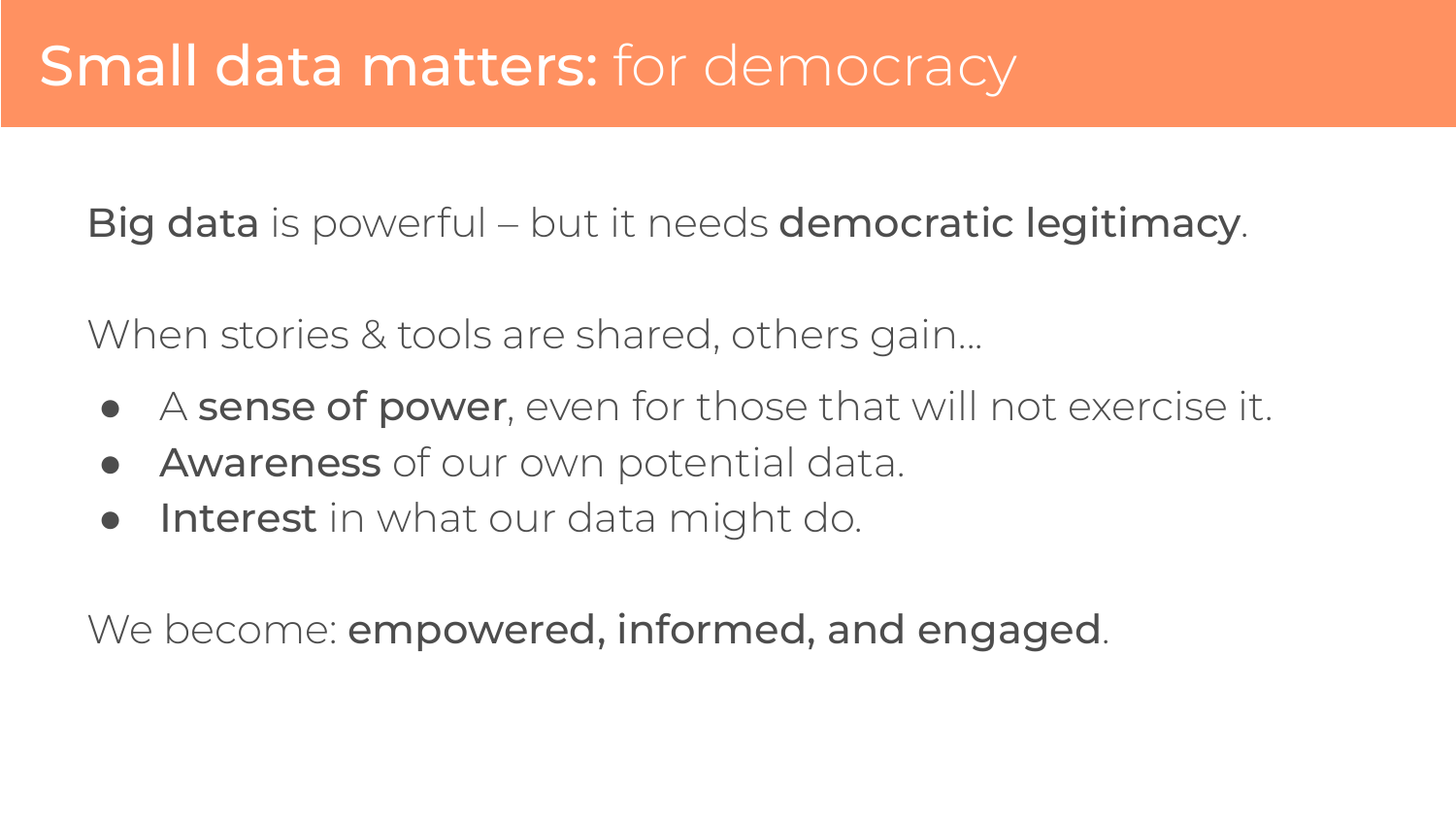Big data is powerful – but it needs democratic legitimacy.

When stories & tools are shared, others gain...

- A sense of power, even for those that will not exercise it.
- Awareness of our own potential data.
- **Interest** in what our data might do.

We become: **empowered, informed, and engaged**.